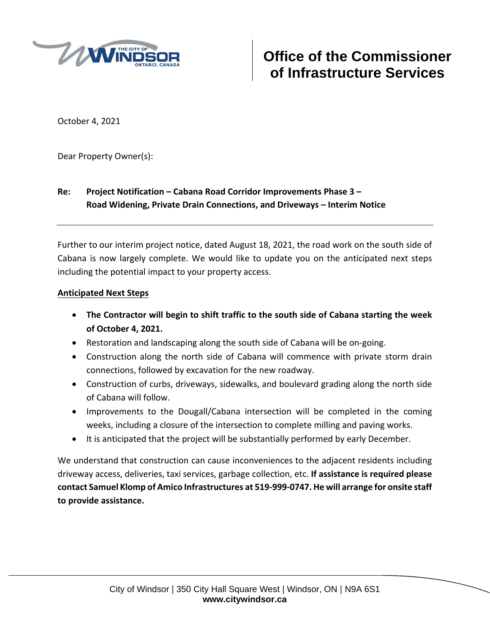

October 4, 2021

Dear Property Owner(s):

## **Re: Project Notification – Cabana Road Corridor Improvements Phase 3 – Road Widening, Private Drain Connections, and Driveways – Interim Notice**

Further to our interim project notice, dated August 18, 2021, the road work on the south side of Cabana is now largely complete. We would like to update you on the anticipated next steps including the potential impact to your property access.

## **Anticipated Next Steps**

- **The Contractor will begin to shift traffic to the south side of Cabana starting the week of October 4, 2021.**
- Restoration and landscaping along the south side of Cabana will be on-going.
- Construction along the north side of Cabana will commence with private storm drain connections, followed by excavation for the new roadway.
- Construction of curbs, driveways, sidewalks, and boulevard grading along the north side of Cabana will follow.
- Improvements to the Dougall/Cabana intersection will be completed in the coming weeks, including a closure of the intersection to complete milling and paving works.
- It is anticipated that the project will be substantially performed by early December.

We understand that construction can cause inconveniences to the adjacent residents including driveway access, deliveries, taxi services, garbage collection, etc. **If assistance is required please contact Samuel Klomp of Amico Infrastructures at 519‐999‐0747. He will arrange for onsite staff to provide assistance.**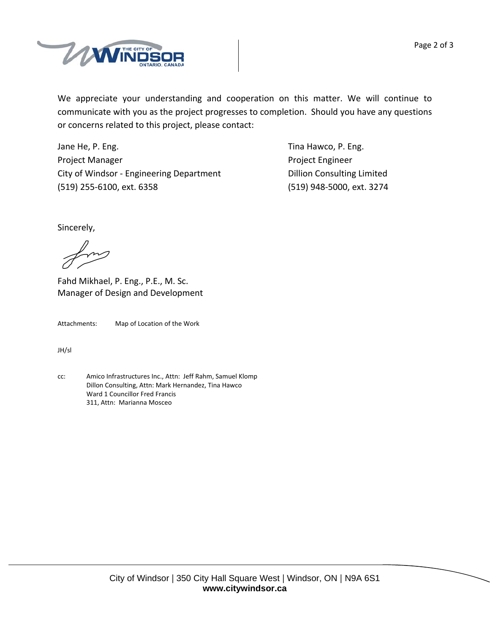



We appreciate your understanding and cooperation on this matter. We will continue to communicate with you as the project progresses to completion. Should you have any questions or concerns related to this project, please contact:

Jane He, P. Eng. **In the Contract of Contract Contract Contract Contract Contract Contract Contract Contract Contract Contract Contract Contract Contract Contract Contract Contract Contract Contract Contract Contract Contr** Project Manager **Department Controller Engineer** Project Engineer City of Windsor - Engineering Department **Dillion Consulting Limited** (519) 255‐6100, ext. 6358 (519) 948‐5000, ext. 3274

Sincerely,

Fahd Mikhael, P. Eng., P.E., M. Sc. Manager of Design and Development

Attachments: Map of Location of the Work

JH/sl

cc: Amico Infrastructures Inc., Attn: Jeff Rahm, Samuel Klomp Dillon Consulting, Attn: Mark Hernandez, Tina Hawco Ward 1 Councillor Fred Francis 311, Attn: Marianna Mosceo